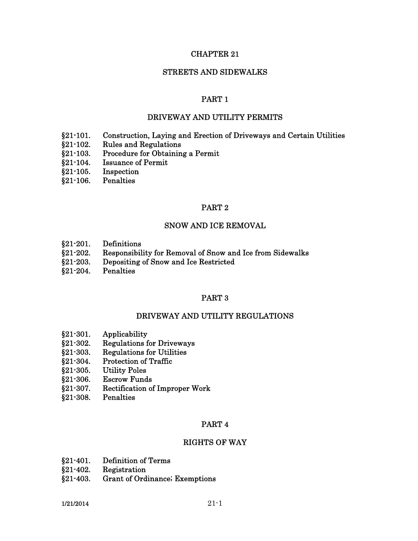## CHAPTER 21

## STREETS AND SIDEWALKS

## PART 1

### DRIVEWAY AND UTILITY PERMITS

- §21-101. Construction, Laying and Erection of Driveways and Certain Utilities
- §21-102. Rules and Regulations
- §21-103. Procedure for Obtaining a Permit
- §21-104. Issuance of Permit
- §21-105. Inspection
- §21-106. Penalties

#### PART 2

### SNOW AND ICE REMOVAL

- §21-201. Definitions
- §21-202. Responsibility for Removal of Snow and Ice from Sidewalks
- §21-203. Depositing of Snow and Ice Restricted
- §21-204. Penalties

## PART 3

#### DRIVEWAY AND UTILITY REGULATIONS

- §21-301. Applicability
- §21-302. Regulations for Driveways
- §21-303. Regulations for Utilities
- §21-304. Protection of Traffic
- §21-305. Utility Poles
- §21-306. Escrow Funds
- §21-307. Rectification of Improper Work
- §21-308. Penalties

### PART 4

### RIGHTS OF WAY

- §21-401. Definition of Terms
- §21-402. Registration
- §21-403. Grant of Ordinance; Exemptions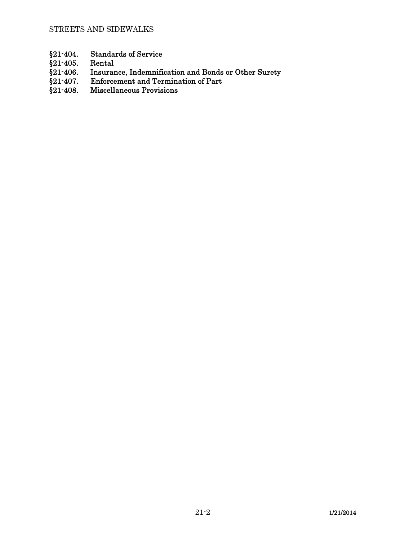- §21-404. Standards of Service<br>§21-405. Rental
- 
- $\S$ 21-405.<br> $\S$ 21-406. §21-406. Insurance, Indemnification and Bonds or Other Surety<br>§21-407. Enforcement and Termination of Part
- §21-407. Enforcement and Termination of Part<br>§21-408. Miscellaneous Provisions
- Miscellaneous Provisions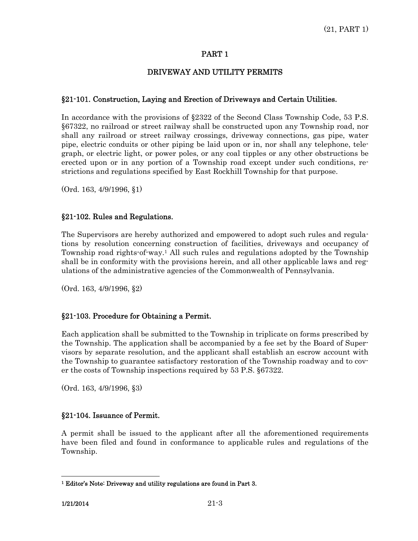## DRIVEWAY AND UTILITY PERMITS

## §21-101. Construction, Laying and Erection of Driveways and Certain Utilities.

In accordance with the provisions of §2322 of the Second Class Township Code, 53 P.S. §67322, no railroad or street railway shall be constructed upon any Township road, nor shall any railroad or street railway crossings, driveway connections, gas pipe, water pipe, electric conduits or other piping be laid upon or in, nor shall any telephone, telegraph, or electric light, or power poles, or any coal tipples or any other obstructions be erected upon or in any portion of a Township road except under such conditions, restrictions and regulations specified by East Rockhill Township for that purpose.

(Ord. 163, 4/9/1996, §1)

## §21-102. Rules and Regulations.

The Supervisors are hereby authorized and empowered to adopt such rules and regulations by resolution concerning construction of facilities, driveways and occupancy of Township road rights-of-way.1 All such rules and regulations adopted by the Township shall be in conformity with the provisions herein, and all other applicable laws and regulations of the administrative agencies of the Commonwealth of Pennsylvania.

(Ord. 163, 4/9/1996, §2)

## §21-103. Procedure for Obtaining a Permit.

Each application shall be submitted to the Township in triplicate on forms prescribed by the Township. The application shall be accompanied by a fee set by the Board of Supervisors by separate resolution, and the applicant shall establish an escrow account with the Township to guarantee satisfactory restoration of the Township roadway and to cover the costs of Township inspections required by 53 P.S. §67322.

(Ord. 163, 4/9/1996, §3)

## §21-104. Issuance of Permit.

A permit shall be issued to the applicant after all the aforementioned requirements have been filed and found in conformance to applicable rules and regulations of the Township.

 $\overline{a}$ 

<sup>1</sup> Editor's Note: Driveway and utility regulations are found in Part 3.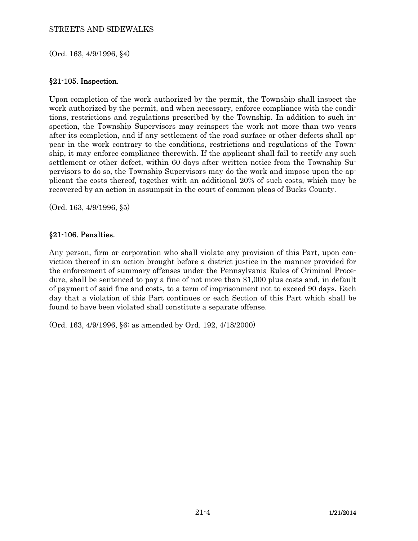### STREETS AND SIDEWALKS

(Ord. 163, 4/9/1996, §4)

## §21-105. Inspection.

Upon completion of the work authorized by the permit, the Township shall inspect the work authorized by the permit, and when necessary, enforce compliance with the conditions, restrictions and regulations prescribed by the Township. In addition to such inspection, the Township Supervisors may reinspect the work not more than two years after its completion, and if any settlement of the road surface or other defects shall appear in the work contrary to the conditions, restrictions and regulations of the Township, it may enforce compliance therewith. If the applicant shall fail to rectify any such settlement or other defect, within 60 days after written notice from the Township Supervisors to do so, the Township Supervisors may do the work and impose upon the applicant the costs thereof, together with an additional 20% of such costs, which may be recovered by an action in assumpsit in the court of common pleas of Bucks County.

(Ord. 163, 4/9/1996, §5)

## §21-106. Penalties.

Any person, firm or corporation who shall violate any provision of this Part, upon conviction thereof in an action brought before a district justice in the manner provided for the enforcement of summary offenses under the Pennsylvania Rules of Criminal Procedure, shall be sentenced to pay a fine of not more than \$1,000 plus costs and, in default of payment of said fine and costs, to a term of imprisonment not to exceed 90 days. Each day that a violation of this Part continues or each Section of this Part which shall be found to have been violated shall constitute a separate offense.

(Ord. 163, 4/9/1996, §6; as amended by Ord. 192, 4/18/2000)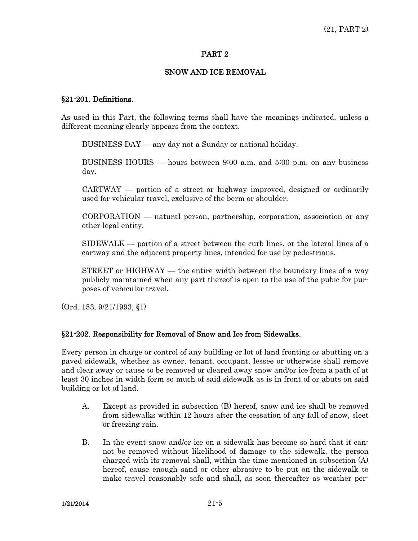## SNOW AND ICE REMOVAL

### §21-201. Definitions.

As used in this Part, the following terms shall have the meanings indicated, unless a different meaning clearly appears from the context.

BUSINESS DAY — any day not a Sunday or national holiday.

 BUSINESS HOURS — hours between 9:00 a.m. and 5:00 p.m. on any business day.

 $CARTWAY$  — portion of a street or highway improved, designed or ordinarily used for vehicular travel, exclusive of the berm or shoulder.

 CORPORATION — natural person, partnership, corporation, association or any other legal entity.

 SIDEWALK — portion of a street between the curb lines, or the lateral lines of a cartway and the adjacent property lines, intended for use by pedestrians.

 $STREET$  or  $HIGHWAY$  — the entire width between the boundary lines of a way publicly maintained when any part thereof is open to the use of the pubic for purposes of vehicular travel.

(Ord. 153, 9/21/1993, §1)

## §21-202. Responsibility for Removal of Snow and Ice from Sidewalks.

Every person in charge or control of any building or lot of land fronting or abutting on a paved sidewalk, whether as owner, tenant, occupant, lessee or otherwise shall remove and clear away or cause to be removed or cleared away snow and/or ice from a path of at least 30 inches in width form so much of said sidewalk as is in front of or abuts on said building or lot of land.

- A. Except as provided in subsection (B) hereof, snow and ice shall be removed from sidewalks within 12 hours after the cessation of any fall of snow, sleet or freezing rain.
- B. In the event snow and/or ice on a sidewalk has become so hard that it cannot be removed without likelihood of damage to the sidewalk, the person charged with its removal shall, within the time mentioned in subsection (A) hereof, cause enough sand or other abrasive to be put on the sidewalk to make travel reasonably safe and shall, as soon thereafter as weather per-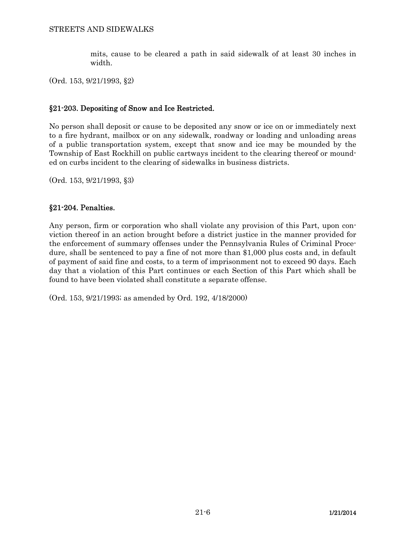mits, cause to be cleared a path in said sidewalk of at least 30 inches in width.

(Ord. 153, 9/21/1993, §2)

# §21-203. Depositing of Snow and Ice Restricted.

No person shall deposit or cause to be deposited any snow or ice on or immediately next to a fire hydrant, mailbox or on any sidewalk, roadway or loading and unloading areas of a public transportation system, except that snow and ice may be mounded by the Township of East Rockhill on public cartways incident to the clearing thereof or mounded on curbs incident to the clearing of sidewalks in business districts.

(Ord. 153, 9/21/1993, §3)

## §21-204. Penalties.

Any person, firm or corporation who shall violate any provision of this Part, upon conviction thereof in an action brought before a district justice in the manner provided for the enforcement of summary offenses under the Pennsylvania Rules of Criminal Procedure, shall be sentenced to pay a fine of not more than \$1,000 plus costs and, in default of payment of said fine and costs, to a term of imprisonment not to exceed 90 days. Each day that a violation of this Part continues or each Section of this Part which shall be found to have been violated shall constitute a separate offense.

(Ord. 153, 9/21/1993; as amended by Ord. 192, 4/18/2000)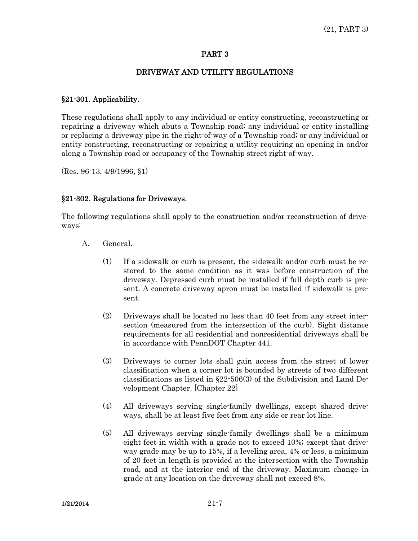## DRIVEWAY AND UTILITY REGULATIONS

## §21-301. Applicability.

These regulations shall apply to any individual or entity constructing, reconstructing or repairing a driveway which abuts a Township road; any individual or entity installing or replacing a driveway pipe in the right-of-way of a Township road; or any individual or entity constructing, reconstructing or repairing a utility requiring an opening in and/or along a Township road or occupancy of the Township street right-of-way.

(Res. 96-13, 4/9/1996, §1)

### §21-302. Regulations for Driveways.

The following regulations shall apply to the construction and/or reconstruction of driveways:

- A. General.
	- (1) If a sidewalk or curb is present, the sidewalk and/or curb must be restored to the same condition as it was before construction of the driveway. Depressed curb must be installed if full depth curb is present. A concrete driveway apron must be installed if sidewalk is present.
	- (2) Driveways shall be located no less than 40 feet from any street intersection (measured from the intersection of the curb). Sight distance requirements for all residential and nonresidential driveways shall be in accordance with PennDOT Chapter 441.
	- (3) Driveways to corner lots shall gain access from the street of lower classification when a corner lot is bounded by streets of two different classifications as listed in §22-506(3) of the Subdivision and Land Development Chapter. [Chapter 22]
	- (4) All driveways serving single-family dwellings, except shared driveways, shall be at least five feet from any side or rear lot line.
	- (5) All driveways serving single-family dwellings shall be a minimum eight feet in width with a grade not to exceed 10%; except that driveway grade may be up to 15%, if a leveling area, 4% or less, a minimum of 20 feet in length is provided at the intersection with the Township road, and at the interior end of the driveway. Maximum change in grade at any location on the driveway shall not exceed 8%.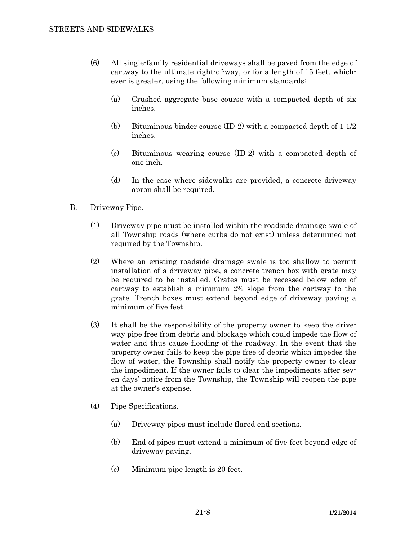- (6) All single-family residential driveways shall be paved from the edge of cartway to the ultimate right-of-way, or for a length of 15 feet, whichever is greater, using the following minimum standards:
	- (a) Crushed aggregate base course with a compacted depth of six inches.
	- (b) Bituminous binder course (ID-2) with a compacted depth of 1 1/2 inches.
	- (c) Bituminous wearing course (ID-2) with a compacted depth of one inch.
	- (d) In the case where sidewalks are provided, a concrete driveway apron shall be required.
- B. Driveway Pipe.
	- (1) Driveway pipe must be installed within the roadside drainage swale of all Township roads (where curbs do not exist) unless determined not required by the Township.
	- (2) Where an existing roadside drainage swale is too shallow to permit installation of a driveway pipe, a concrete trench box with grate may be required to be installed. Grates must be recessed below edge of cartway to establish a minimum 2% slope from the cartway to the grate. Trench boxes must extend beyond edge of driveway paving a minimum of five feet.
	- (3) It shall be the responsibility of the property owner to keep the driveway pipe free from debris and blockage which could impede the flow of water and thus cause flooding of the roadway. In the event that the property owner fails to keep the pipe free of debris which impedes the flow of water, the Township shall notify the property owner to clear the impediment. If the owner fails to clear the impediments after seven days' notice from the Township, the Township will reopen the pipe at the owner's expense.
	- (4) Pipe Specifications.
		- (a) Driveway pipes must include flared end sections.
		- (b) End of pipes must extend a minimum of five feet beyond edge of driveway paving.
		- (c) Minimum pipe length is 20 feet.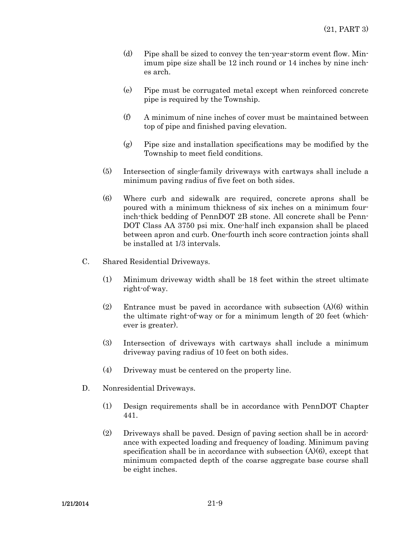- (d) Pipe shall be sized to convey the ten-year-storm event flow. Minimum pipe size shall be 12 inch round or 14 inches by nine inches arch.
- (e) Pipe must be corrugated metal except when reinforced concrete pipe is required by the Township.
- (f) A minimum of nine inches of cover must be maintained between top of pipe and finished paving elevation.
- (g) Pipe size and installation specifications may be modified by the Township to meet field conditions.
- (5) Intersection of single-family driveways with cartways shall include a minimum paving radius of five feet on both sides.
- (6) Where curb and sidewalk are required, concrete aprons shall be poured with a minimum thickness of six inches on a minimum fourinch-thick bedding of PennDOT 2B stone. All concrete shall be Penn-DOT Class AA 3750 psi mix. One-half inch expansion shall be placed between apron and curb. One-fourth inch score contraction joints shall be installed at 1/3 intervals.
- C. Shared Residential Driveways.
	- (1) Minimum driveway width shall be 18 feet within the street ultimate right-of-way.
	- (2) Entrance must be paved in accordance with subsection  $(A)(6)$  within the ultimate right-of-way or for a minimum length of 20 feet (whichever is greater).
	- (3) Intersection of driveways with cartways shall include a minimum driveway paving radius of 10 feet on both sides.
	- (4) Driveway must be centered on the property line.
- D. Nonresidential Driveways.
	- (1) Design requirements shall be in accordance with PennDOT Chapter 441.
	- (2) Driveways shall be paved. Design of paving section shall be in accordance with expected loading and frequency of loading. Minimum paving specification shall be in accordance with subsection  $(A)(6)$ , except that minimum compacted depth of the coarse aggregate base course shall be eight inches.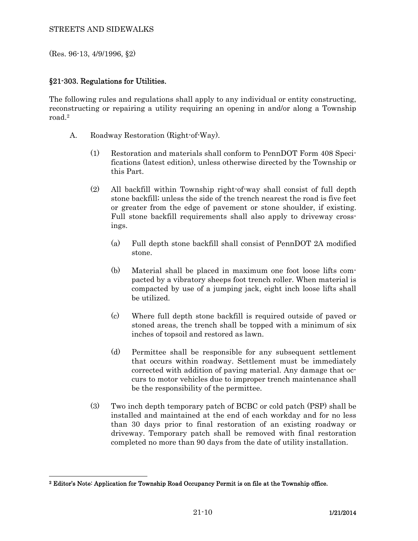(Res. 96-13, 4/9/1996, §2)

 $\overline{a}$ 

## §21-303. Regulations for Utilities.

The following rules and regulations shall apply to any individual or entity constructing, reconstructing or repairing a utility requiring an opening in and/or along a Township road.2

- A. Roadway Restoration (Right-of-Way).
	- (1) Restoration and materials shall conform to PennDOT Form 408 Specifications (latest edition), unless otherwise directed by the Township or this Part.
	- (2) All backfill within Township right-of-way shall consist of full depth stone backfill; unless the side of the trench nearest the road is five feet or greater from the edge of pavement or stone shoulder, if existing. Full stone backfill requirements shall also apply to driveway crossings.
		- (a) Full depth stone backfill shall consist of PennDOT 2A modified stone.
		- (b) Material shall be placed in maximum one foot loose lifts compacted by a vibratory sheeps foot trench roller. When material is compacted by use of a jumping jack, eight inch loose lifts shall be utilized.
		- (c) Where full depth stone backfill is required outside of paved or stoned areas, the trench shall be topped with a minimum of six inches of topsoil and restored as lawn.
		- (d) Permittee shall be responsible for any subsequent settlement that occurs within roadway. Settlement must be immediately corrected with addition of paving material. Any damage that occurs to motor vehicles due to improper trench maintenance shall be the responsibility of the permittee.
	- (3) Two inch depth temporary patch of BCBC or cold patch (PSP) shall be installed and maintained at the end of each workday and for no less than 30 days prior to final restoration of an existing roadway or driveway. Temporary patch shall be removed with final restoration completed no more than 90 days from the date of utility installation.

<sup>2</sup> Editor's Note: Application for Township Road Occupancy Permit is on file at the Township office.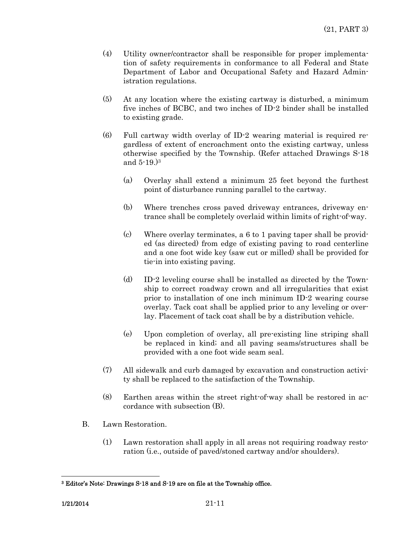- (4) Utility owner/contractor shall be responsible for proper implementation of safety requirements in conformance to all Federal and State Department of Labor and Occupational Safety and Hazard Administration regulations.
- (5) At any location where the existing cartway is disturbed, a minimum five inches of BCBC, and two inches of ID-2 binder shall be installed to existing grade.
- (6) Full cartway width overlay of ID-2 wearing material is required regardless of extent of encroachment onto the existing cartway, unless otherwise specified by the Township. (Refer attached Drawings S-18 and 5-19.)3
	- (a) Overlay shall extend a minimum 25 feet beyond the furthest point of disturbance running parallel to the cartway.
	- (b) Where trenches cross paved driveway entrances, driveway entrance shall be completely overlaid within limits of right-of-way.
	- (c) Where overlay terminates, a 6 to 1 paving taper shall be provided (as directed) from edge of existing paving to road centerline and a one foot wide key (saw cut or milled) shall be provided for tie-in into existing paving.
	- (d) ID-2 leveling course shall be installed as directed by the Township to correct roadway crown and all irregularities that exist prior to installation of one inch minimum ID-2 wearing course overlay. Tack coat shall be applied prior to any leveling or overlay. Placement of tack coat shall be by a distribution vehicle.
	- (e) Upon completion of overlay, all pre-existing line striping shall be replaced in kind; and all paving seams/structures shall be provided with a one foot wide seam seal.
- (7) All sidewalk and curb damaged by excavation and construction activity shall be replaced to the satisfaction of the Township.
- (8) Earthen areas within the street right-of-way shall be restored in accordance with subsection (B).
- B. Lawn Restoration.
	- (1) Lawn restoration shall apply in all areas not requiring roadway restoration (i.e., outside of paved/stoned cartway and/or shoulders).

 $\overline{a}$ 

<sup>3</sup> Editor's Note: Drawings S-18 and S-19 are on file at the Township office.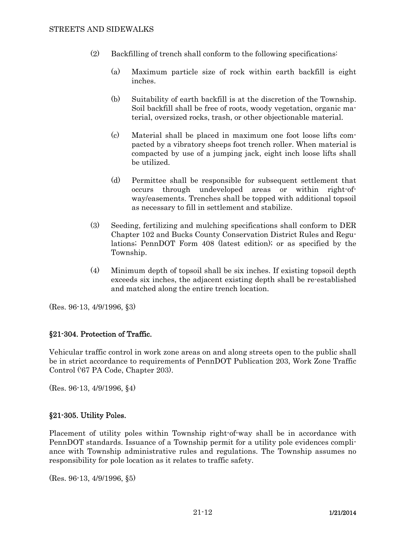- (2) Backfilling of trench shall conform to the following specifications:
	- (a) Maximum particle size of rock within earth backfill is eight inches.
	- (b) Suitability of earth backfill is at the discretion of the Township. Soil backfill shall be free of roots, woody vegetation, organic material, oversized rocks, trash, or other objectionable material.
	- (c) Material shall be placed in maximum one foot loose lifts compacted by a vibratory sheeps foot trench roller. When material is compacted by use of a jumping jack, eight inch loose lifts shall be utilized.
	- (d) Permittee shall be responsible for subsequent settlement that occurs through undeveloped areas or within right-ofway/easements. Trenches shall be topped with additional topsoil as necessary to fill in settlement and stabilize.
- (3) Seeding, fertilizing and mulching specifications shall conform to DER Chapter 102 and Bucks County Conservation District Rules and Regulations; PennDOT Form 408 (latest edition); or as specified by the Township.
- (4) Minimum depth of topsoil shall be six inches. If existing topsoil depth exceeds six inches, the adjacent existing depth shall be re-established and matched along the entire trench location.

(Res. 96-13, 4/9/1996, §3)

#### §21-304. Protection of Traffic.

Vehicular traffic control in work zone areas on and along streets open to the public shall be in strict accordance to requirements of PennDOT Publication 203, Work Zone Traffic Control ('67 PA Code, Chapter 203).

(Res. 96-13, 4/9/1996, §4)

#### §21-305. Utility Poles.

Placement of utility poles within Township right-of-way shall be in accordance with PennDOT standards. Issuance of a Township permit for a utility pole evidences compliance with Township administrative rules and regulations. The Township assumes no responsibility for pole location as it relates to traffic safety.

(Res. 96-13, 4/9/1996, §5)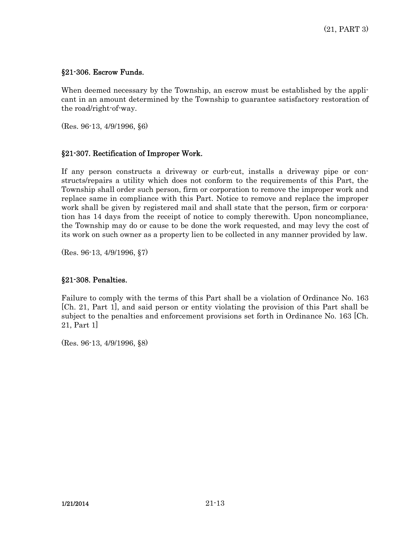## §21-306. Escrow Funds.

When deemed necessary by the Township, an escrow must be established by the applicant in an amount determined by the Township to guarantee satisfactory restoration of the road/right-of-way.

(Res. 96-13, 4/9/1996, §6)

# §21-307. Rectification of Improper Work.

If any person constructs a driveway or curb-cut, installs a driveway pipe or constructs/repairs a utility which does not conform to the requirements of this Part, the Township shall order such person, firm or corporation to remove the improper work and replace same in compliance with this Part. Notice to remove and replace the improper work shall be given by registered mail and shall state that the person, firm or corporation has 14 days from the receipt of notice to comply therewith. Upon noncompliance, the Township may do or cause to be done the work requested, and may levy the cost of its work on such owner as a property lien to be collected in any manner provided by law.

(Res. 96-13, 4/9/1996, §7)

## §21-308. Penalties.

Failure to comply with the terms of this Part shall be a violation of Ordinance No. 163 [Ch. 21, Part 1], and said person or entity violating the provision of this Part shall be subject to the penalties and enforcement provisions set forth in Ordinance No. 163 [Ch. 21, Part 1]

(Res. 96-13, 4/9/1996, §8)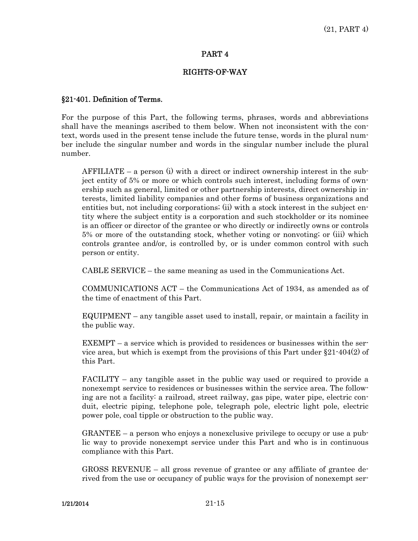#### RIGHTS-OF-WAY

#### §21-401. Definition of Terms.

For the purpose of this Part, the following terms, phrases, words and abbreviations shall have the meanings ascribed to them below. When not inconsistent with the context, words used in the present tense include the future tense, words in the plural number include the singular number and words in the singular number include the plural number.

 AFFILIATE – a person (i) with a direct or indirect ownership interest in the subject entity of 5% or more or which controls such interest, including forms of ownership such as general, limited or other partnership interests, direct ownership interests, limited liability companies and other forms of business organizations and entities but, not including corporations; (ii) with a stock interest in the subject entity where the subject entity is a corporation and such stockholder or its nominee is an officer or director of the grantee or who directly or indirectly owns or controls 5% or more of the outstanding stock, whether voting or nonvoting; or (iii) which controls grantee and/or, is controlled by, or is under common control with such person or entity.

CABLE SERVICE – the same meaning as used in the Communications Act.

 COMMUNICATIONS ACT – the Communications Act of 1934, as amended as of the time of enactment of this Part.

 EQUIPMENT – any tangible asset used to install, repair, or maintain a facility in the public way.

 EXEMPT – a service which is provided to residences or businesses within the service area, but which is exempt from the provisions of this Part under  $\S 21 - 404(2)$  of this Part.

 FACILITY – any tangible asset in the public way used or required to provide a nonexempt service to residences or businesses within the service area. The following are not a facility: a railroad, street railway, gas pipe, water pipe, electric conduit, electric piping, telephone pole, telegraph pole, electric light pole, electric power pole, coal tipple or obstruction to the public way.

 GRANTEE – a person who enjoys a nonexclusive privilege to occupy or use a public way to provide nonexempt service under this Part and who is in continuous compliance with this Part.

 GROSS REVENUE – all gross revenue of grantee or any affiliate of grantee derived from the use or occupancy of public ways for the provision of nonexempt ser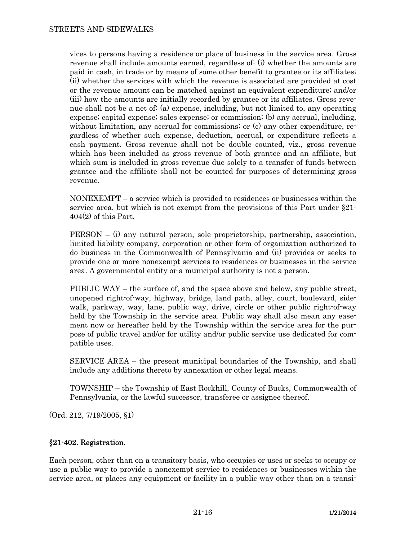vices to persons having a residence or place of business in the service area. Gross revenue shall include amounts earned, regardless of: (i) whether the amounts are paid in cash, in trade or by means of some other benefit to grantee or its affiliates; (ii) whether the services with which the revenue is associated are provided at cost or the revenue amount can be matched against an equivalent expenditure; and/or (iii) how the amounts are initially recorded by grantee or its affiliates. Gross revenue shall not be a net of: (a) expense, including, but not limited to, any operating expense; capital expense; sales expense; or commission; (b) any accrual, including, without limitation, any accrual for commissions; or (c) any other expenditure, regardless of whether such expense, deduction, accrual, or expenditure reflects a cash payment. Gross revenue shall not be double counted, viz., gross revenue which has been included as gross revenue of both grantee and an affiliate, but which sum is included in gross revenue due solely to a transfer of funds between grantee and the affiliate shall not be counted for purposes of determining gross revenue.

 NONEXEMPT – a service which is provided to residences or businesses within the service area, but which is not exempt from the provisions of this Part under §21-  $404(2)$  of this Part.

 PERSON – (i) any natural person, sole proprietorship, partnership, association, limited liability company, corporation or other form of organization authorized to do business in the Commonwealth of Pennsylvania and (ii) provides or seeks to provide one or more nonexempt services to residences or businesses in the service area. A governmental entity or a municipal authority is not a person.

 PUBLIC WAY – the surface of, and the space above and below, any public street, unopened right-of-way, highway, bridge, land path, alley, court, boulevard, sidewalk, parkway, way, lane, public way, drive, circle or other public right-of-way held by the Township in the service area. Public way shall also mean any easement now or hereafter held by the Township within the service area for the purpose of public travel and/or for utility and/or public service use dedicated for compatible uses.

 SERVICE AREA – the present municipal boundaries of the Township, and shall include any additions thereto by annexation or other legal means.

 TOWNSHIP – the Township of East Rockhill, County of Bucks, Commonwealth of Pennsylvania, or the lawful successor, transferee or assignee thereof.

(Ord. 212, 7/19/2005, §1)

## §21-402. Registration.

Each person, other than on a transitory basis, who occupies or uses or seeks to occupy or use a public way to provide a nonexempt service to residences or businesses within the service area, or places any equipment or facility in a public way other than on a transi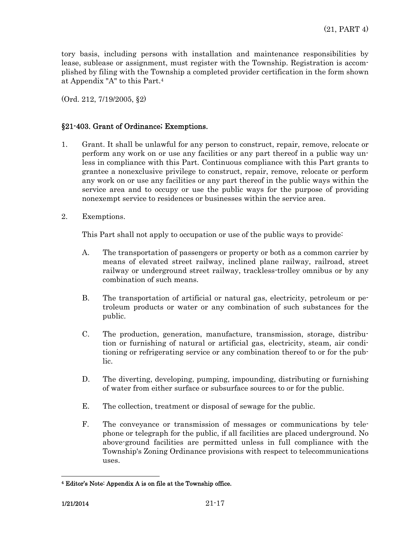tory basis, including persons with installation and maintenance responsibilities by lease, sublease or assignment, must register with the Township. Registration is accomplished by filing with the Township a completed provider certification in the form shown at Appendix "A" to this Part.4

(Ord. 212, 7/19/2005, §2)

## §21-403. Grant of Ordinance; Exemptions.

- 1. Grant. It shall be unlawful for any person to construct, repair, remove, relocate or perform any work on or use any facilities or any part thereof in a public way unless in compliance with this Part. Continuous compliance with this Part grants to grantee a nonexclusive privilege to construct, repair, remove, relocate or perform any work on or use any facilities or any part thereof in the public ways within the service area and to occupy or use the public ways for the purpose of providing nonexempt service to residences or businesses within the service area.
- 2. Exemptions.

This Part shall not apply to occupation or use of the public ways to provide:

- A. The transportation of passengers or property or both as a common carrier by means of elevated street railway, inclined plane railway, railroad, street railway or underground street railway, trackless-trolley omnibus or by any combination of such means.
- B. The transportation of artificial or natural gas, electricity, petroleum or petroleum products or water or any combination of such substances for the public.
- C. The production, generation, manufacture, transmission, storage, distribution or furnishing of natural or artificial gas, electricity, steam, air conditioning or refrigerating service or any combination thereof to or for the public.
- D. The diverting, developing, pumping, impounding, distributing or furnishing of water from either surface or subsurface sources to or for the public.
- E. The collection, treatment or disposal of sewage for the public.
- F. The conveyance or transmission of messages or communications by telephone or telegraph for the public, if all facilities are placed underground. No above-ground facilities are permitted unless in full compliance with the Township's Zoning Ordinance provisions with respect to telecommunications uses.

 $\overline{a}$ 

<sup>4</sup> Editor's Note: Appendix A is on file at the Township office.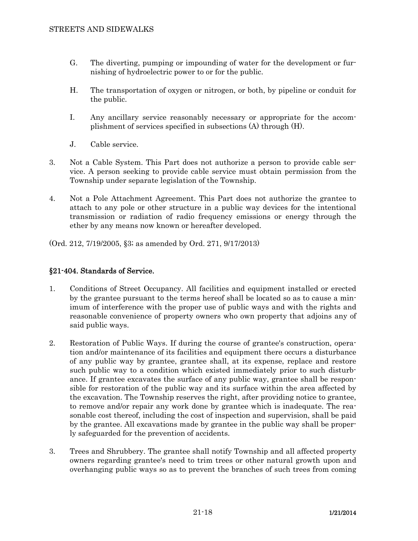- G. The diverting, pumping or impounding of water for the development or furnishing of hydroelectric power to or for the public.
- H. The transportation of oxygen or nitrogen, or both, by pipeline or conduit for the public.
- I. Any ancillary service reasonably necessary or appropriate for the accomplishment of services specified in subsections (A) through (H).
- J. Cable service.
- 3. Not a Cable System. This Part does not authorize a person to provide cable service. A person seeking to provide cable service must obtain permission from the Township under separate legislation of the Township.
- 4. Not a Pole Attachment Agreement. This Part does not authorize the grantee to attach to any pole or other structure in a public way devices for the intentional transmission or radiation of radio frequency emissions or energy through the ether by any means now known or hereafter developed.

(Ord. 212, 7/19/2005, §3; as amended by Ord. 271, 9/17/2013)

# §21-404. Standards of Service.

- 1. Conditions of Street Occupancy. All facilities and equipment installed or erected by the grantee pursuant to the terms hereof shall be located so as to cause a minimum of interference with the proper use of public ways and with the rights and reasonable convenience of property owners who own property that adjoins any of said public ways.
- 2. Restoration of Public Ways. If during the course of grantee's construction, operation and/or maintenance of its facilities and equipment there occurs a disturbance of any public way by grantee, grantee shall, at its expense, replace and restore such public way to a condition which existed immediately prior to such disturbance. If grantee excavates the surface of any public way, grantee shall be responsible for restoration of the public way and its surface within the area affected by the excavation. The Township reserves the right, after providing notice to grantee, to remove and/or repair any work done by grantee which is inadequate. The reasonable cost thereof, including the cost of inspection and supervision, shall be paid by the grantee. All excavations made by grantee in the public way shall be properly safeguarded for the prevention of accidents.
- 3. Trees and Shrubbery. The grantee shall notify Township and all affected property owners regarding grantee's need to trim trees or other natural growth upon and overhanging public ways so as to prevent the branches of such trees from coming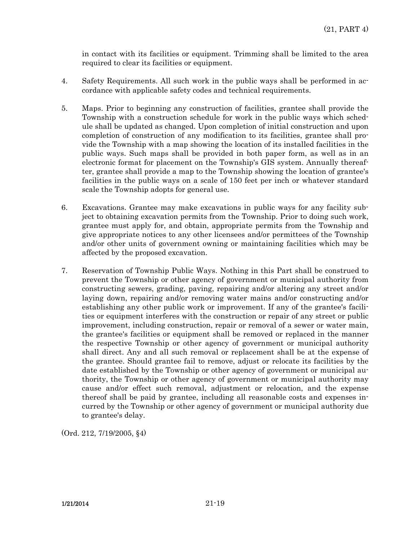in contact with its facilities or equipment. Trimming shall be limited to the area required to clear its facilities or equipment.

- 4. Safety Requirements. All such work in the public ways shall be performed in accordance with applicable safety codes and technical requirements.
- 5. Maps. Prior to beginning any construction of facilities, grantee shall provide the Township with a construction schedule for work in the public ways which schedule shall be updated as changed. Upon completion of initial construction and upon completion of construction of any modification to its facilities, grantee shall provide the Township with a map showing the location of its installed facilities in the public ways. Such maps shall be provided in both paper form, as well as in an electronic format for placement on the Township's GIS system. Annually thereafter, grantee shall provide a map to the Township showing the location of grantee's facilities in the public ways on a scale of 150 feet per inch or whatever standard scale the Township adopts for general use.
- 6. Excavations. Grantee may make excavations in public ways for any facility subject to obtaining excavation permits from the Township. Prior to doing such work, grantee must apply for, and obtain, appropriate permits from the Township and give appropriate notices to any other licensees and/or permittees of the Township and/or other units of government owning or maintaining facilities which may be affected by the proposed excavation.
- 7. Reservation of Township Public Ways. Nothing in this Part shall be construed to prevent the Township or other agency of government or municipal authority from constructing sewers, grading, paving, repairing and/or altering any street and/or laying down, repairing and/or removing water mains and/or constructing and/or establishing any other public work or improvement. If any of the grantee's facilities or equipment interferes with the construction or repair of any street or public improvement, including construction, repair or removal of a sewer or water main, the grantee's facilities or equipment shall be removed or replaced in the manner the respective Township or other agency of government or municipal authority shall direct. Any and all such removal or replacement shall be at the expense of the grantee. Should grantee fail to remove, adjust or relocate its facilities by the date established by the Township or other agency of government or municipal authority, the Township or other agency of government or municipal authority may cause and/or effect such removal, adjustment or relocation, and the expense thereof shall be paid by grantee, including all reasonable costs and expenses incurred by the Township or other agency of government or municipal authority due to grantee's delay.

(Ord. 212, 7/19/2005, §4)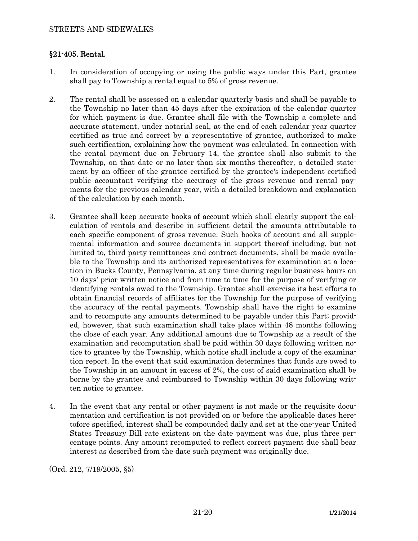## §21-405. Rental.

- 1. In consideration of occupying or using the public ways under this Part, grantee shall pay to Township a rental equal to 5% of gross revenue.
- 2. The rental shall be assessed on a calendar quarterly basis and shall be payable to the Township no later than 45 days after the expiration of the calendar quarter for which payment is due. Grantee shall file with the Township a complete and accurate statement, under notarial seal, at the end of each calendar year quarter certified as true and correct by a representative of grantee, authorized to make such certification, explaining how the payment was calculated. In connection with the rental payment due on February 14, the grantee shall also submit to the Township, on that date or no later than six months thereafter, a detailed statement by an officer of the grantee certified by the grantee's independent certified public accountant verifying the accuracy of the gross revenue and rental payments for the previous calendar year, with a detailed breakdown and explanation of the calculation by each month.
- 3. Grantee shall keep accurate books of account which shall clearly support the calculation of rentals and describe in sufficient detail the amounts attributable to each specific component of gross revenue. Such books of account and all supplemental information and source documents in support thereof including, but not limited to, third party remittances and contract documents, shall be made available to the Township and its authorized representatives for examination at a location in Bucks County, Pennsylvania, at any time during regular business hours on 10 days' prior written notice and from time to time for the purpose of verifying or identifying rentals owed to the Township. Grantee shall exercise its best efforts to obtain financial records of affiliates for the Township for the purpose of verifying the accuracy of the rental payments. Township shall have the right to examine and to recompute any amounts determined to be payable under this Part; provided, however, that such examination shall take place within 48 months following the close of each year. Any additional amount due to Township as a result of the examination and recomputation shall be paid within 30 days following written notice to grantee by the Township, which notice shall include a copy of the examination report. In the event that said examination determines that funds are owed to the Township in an amount in excess of 2%, the cost of said examination shall be borne by the grantee and reimbursed to Township within 30 days following written notice to grantee.
- 4. In the event that any rental or other payment is not made or the requisite documentation and certification is not provided on or before the applicable dates heretofore specified, interest shall be compounded daily and set at the one-year United States Treasury Bill rate existent on the date payment was due, plus three percentage points. Any amount recomputed to reflect correct payment due shall bear interest as described from the date such payment was originally due.

(Ord. 212, 7/19/2005, §5)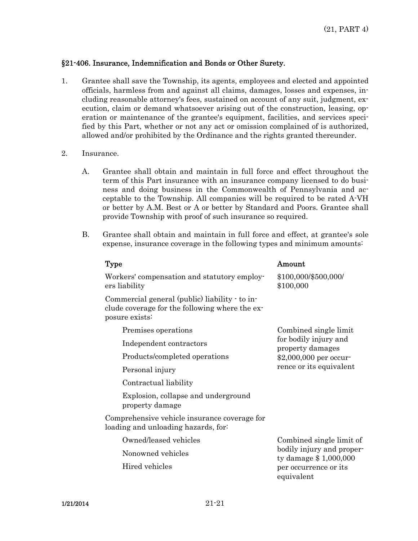## §21-406. Insurance, Indemnification and Bonds or Other Surety.

- 1. Grantee shall save the Township, its agents, employees and elected and appointed officials, harmless from and against all claims, damages, losses and expenses, including reasonable attorney's fees, sustained on account of any suit, judgment, execution, claim or demand whatsoever arising out of the construction, leasing, operation or maintenance of the grantee's equipment, facilities, and services specified by this Part, whether or not any act or omission complained of is authorized, allowed and/or prohibited by the Ordinance and the rights granted thereunder.
- 2. Insurance.
	- A. Grantee shall obtain and maintain in full force and effect throughout the term of this Part insurance with an insurance company licensed to do business and doing business in the Commonwealth of Pennsylvania and acceptable to the Township. All companies will be required to be rated A-VH or better by A.M. Best or A or better by Standard and Poors. Grantee shall provide Township with proof of such insurance so required.
	- B. Grantee shall obtain and maintain in full force and effect, at grantee's sole expense, insurance coverage in the following types and minimum amounts:

| Type                                                                                                               | Amount                                                                                                                  |
|--------------------------------------------------------------------------------------------------------------------|-------------------------------------------------------------------------------------------------------------------------|
| Workers' compensation and statutory employ-<br>ers liability                                                       | \$100,000/\$500,000/<br>\$100,000                                                                                       |
| Commercial general (public) liability - to in-<br>clude coverage for the following where the ex-<br>posure exists: |                                                                                                                         |
| Premises operations                                                                                                | Combined single limit<br>for bodily injury and<br>property damages<br>\$2,000,000 per occur-<br>rence or its equivalent |
| Independent contractors                                                                                            |                                                                                                                         |
| Products/completed operations                                                                                      |                                                                                                                         |
| Personal injury                                                                                                    |                                                                                                                         |
| Contractual liability                                                                                              |                                                                                                                         |
| Explosion, collapse and underground<br>property damage                                                             |                                                                                                                         |
| Comprehensive vehicle insurance coverage for<br>loading and unloading hazards, for                                 |                                                                                                                         |
| Owned/leased vehicles                                                                                              | Combined single limit of<br>bodily injury and proper-<br>ty damage $$1,000,000$<br>per occurrence or its<br>equivalent  |
| Nonowned vehicles                                                                                                  |                                                                                                                         |
| Hired vehicles                                                                                                     |                                                                                                                         |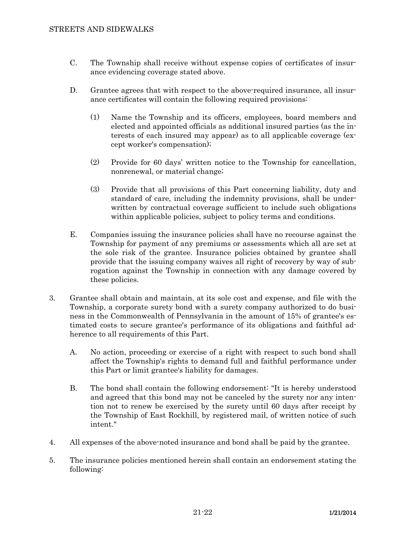- C. The Township shall receive without expense copies of certificates of insurance evidencing coverage stated above.
- D. Grantee agrees that with respect to the above-required insurance, all insurance certificates will contain the following required provisions:
	- (1) Name the Township and its officers, employees, board members and elected and appointed officials as additional insured parties (as the interests of each insured may appear) as to all applicable coverage (except worker's compensation);
	- (2) Provide for 60 days' written notice to the Township for cancellation, nonrenewal, or material change;
	- (3) Provide that all provisions of this Part concerning liability, duty and standard of care, including the indemnity provisions, shall be underwritten by contractual coverage sufficient to include such obligations within applicable policies, subject to policy terms and conditions.
- E. Companies issuing the insurance policies shall have no recourse against the Township for payment of any premiums or assessments which all are set at the sole risk of the grantee. Insurance policies obtained by grantee shall provide that the issuing company waives all right of recovery by way of subrogation against the Township in connection with any damage covered by these policies.
- 3. Grantee shall obtain and maintain, at its sole cost and expense, and file with the Township, a corporate surety bond with a surety company authorized to do business in the Commonwealth of Pennsylvania in the amount of 15% of grantee's estimated costs to secure grantee's performance of its obligations and faithful adherence to all requirements of this Part.
	- A. No action, proceeding or exercise of a right with respect to such bond shall affect the Township's rights to demand full and faithful performance under this Part or limit grantee's liability for damages.
	- B. The bond shall contain the following endorsement: "It is hereby understood and agreed that this bond may not be canceled by the surety nor any intention not to renew be exercised by the surety until 60 days after receipt by the Township of East Rockhill, by registered mail, of written notice of such intent."
- 4. All expenses of the above-noted insurance and bond shall be paid by the grantee.
- 5. The insurance policies mentioned herein shall contain an endorsement stating the following: